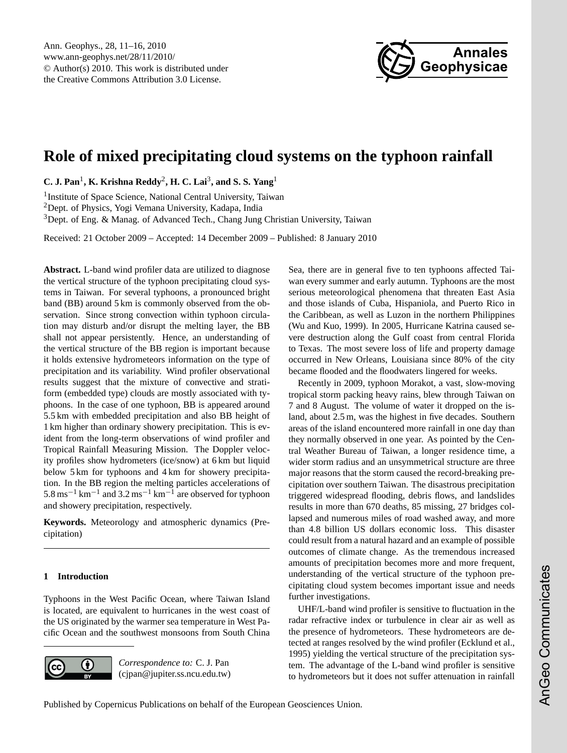

# <span id="page-0-0"></span>**Role of mixed precipitating cloud systems on the typhoon rainfall**

**C. J. Pan**<sup>1</sup> **, K. Krishna Reddy**<sup>2</sup> **, H. C. Lai**<sup>3</sup> **, and S. S. Yang**<sup>1</sup>

1 Institute of Space Science, National Central University, Taiwan <sup>2</sup>Dept. of Physics, Yogi Vemana University, Kadapa, India <sup>3</sup>Dept. of Eng. & Manag. of Advanced Tech., Chang Jung Christian University, Taiwan

Received: 21 October 2009 – Accepted: 14 December 2009 – Published: 8 January 2010

**Abstract.** L-band wind profiler data are utilized to diagnose the vertical structure of the typhoon precipitating cloud systems in Taiwan. For several typhoons, a pronounced bright band (BB) around 5 km is commonly observed from the observation. Since strong convection within typhoon circulation may disturb and/or disrupt the melting layer, the BB shall not appear persistently. Hence, an understanding of the vertical structure of the BB region is important because it holds extensive hydrometeors information on the type of precipitation and its variability. Wind profiler observational results suggest that the mixture of convective and stratiform (embedded type) clouds are mostly associated with typhoons. In the case of one typhoon, BB is appeared around 5.5 km with embedded precipitation and also BB height of 1 km higher than ordinary showery precipitation. This is evident from the long-term observations of wind profiler and Tropical Rainfall Measuring Mission. The Doppler velocity profiles show hydrometers (ice/snow) at 6 km but liquid below 5 km for typhoons and 4 km for showery precipitation. In the BB region the melting particles accelerations of 5.8 ms<sup>-1</sup> km<sup>-1</sup> and 3.2 ms<sup>-1</sup> km<sup>-1</sup> are observed for typhoon and showery precipitation, respectively.

**Keywords.** Meteorology and atmospheric dynamics (Precipitation)

#### **1 Introduction**

Typhoons in the West Pacific Ocean, where Taiwan Island is located, are equivalent to hurricanes in the west coast of the US originated by the warmer sea temperature in West Pacific Ocean and the southwest monsoons from South China



Sea, there are in general five to ten typhoons affected Taiwan every summer and early autumn. Typhoons are the most serious meteorological phenomena that threaten East Asia and those islands of Cuba, Hispaniola, and Puerto Rico in the Caribbean, as well as Luzon in the northern Philippines (Wu and Kuo, 1999). In 2005, Hurricane Katrina caused severe destruction along the Gulf coast from central Florida to Texas. The most severe loss of life and property damage occurred in New Orleans, Louisiana since 80% of the city became flooded and the floodwaters lingered for weeks.

Recently in 2009, typhoon Morakot, a vast, slow-moving tropical storm packing heavy rains, blew through Taiwan on 7 and 8 August. The volume of water it dropped on the island, about 2.5 m, was the highest in five decades. Southern areas of the island encountered more rainfall in one day than they normally observed in one year. As pointed by the Central Weather Bureau of Taiwan, a longer residence time, a wider storm radius and an unsymmetrical structure are three major reasons that the storm caused the record-breaking precipitation over southern Taiwan. The disastrous precipitation triggered widespread flooding, debris flows, and landslides results in more than 670 deaths, 85 missing, 27 bridges collapsed and numerous miles of road washed away, and more than 4.8 billion US dollars economic loss. This disaster could result from a natural hazard and an example of possible outcomes of climate change. As the tremendous increased amounts of precipitation becomes more and more frequent, understanding of the vertical structure of the typhoon precipitating cloud system becomes important issue and needs further investigations.

UHF/L-band wind profiler is sensitive to fluctuation in the radar refractive index or turbulence in clear air as well as the presence of hydrometeors. These hydrometeors are detected at ranges resolved by the wind profiler (Ecklund et al., 1995) yielding the vertical structure of the precipitation system. The advantage of the L-band wind profiler is sensitive to hydrometeors but it does not suffer attenuation in rainfall

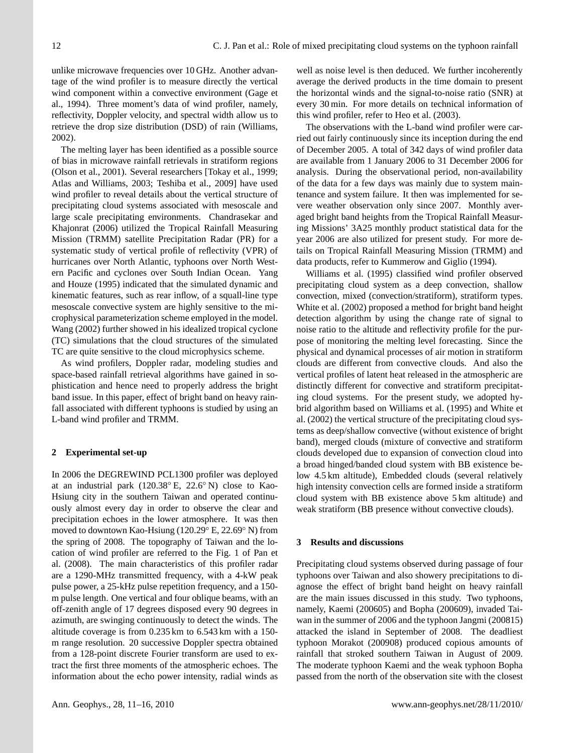unlike microwave frequencies over 10 GHz. Another advantage of the wind profiler is to measure directly the vertical wind component within a convective environment (Gage et al., 1994). Three moment's data of wind profiler, namely, reflectivity, Doppler velocity, and spectral width allow us to retrieve the drop size distribution (DSD) of rain (Williams, 2002).

The melting layer has been identified as a possible source of bias in microwave rainfall retrievals in stratiform regions (Olson et al., 2001). Several researchers [Tokay et al., 1999; Atlas and Williams, 2003; Teshiba et al., 2009] have used wind profiler to reveal details about the vertical structure of precipitating cloud systems associated with mesoscale and large scale precipitating environments. Chandrasekar and Khajonrat (2006) utilized the Tropical Rainfall Measuring Mission (TRMM) satellite Precipitation Radar (PR) for a systematic study of vertical profile of reflectivity (VPR) of hurricanes over North Atlantic, typhoons over North Western Pacific and cyclones over South Indian Ocean. Yang and Houze (1995) indicated that the simulated dynamic and kinematic features, such as rear inflow, of a squall-line type mesoscale convective system are highly sensitive to the microphysical parameterization scheme employed in the model. Wang (2002) further showed in his idealized tropical cyclone (TC) simulations that the cloud structures of the simulated TC are quite sensitive to the cloud microphysics scheme.

As wind profilers, Doppler radar, modeling studies and space-based rainfall retrieval algorithms have gained in sophistication and hence need to properly address the bright band issue. In this paper, effect of bright band on heavy rainfall associated with different typhoons is studied by using an L-band wind profiler and TRMM.

#### **2 Experimental set-up**

In 2006 the DEGREWIND PCL1300 profiler was deployed at an industrial park (120.38◦ E, 22.6◦ N) close to Kao-Hsiung city in the southern Taiwan and operated continuously almost every day in order to observe the clear and precipitation echoes in the lower atmosphere. It was then moved to downtown Kao-Hsiung (120.29◦ E, 22.69◦ N) from the spring of 2008. The topography of Taiwan and the location of wind profiler are referred to the Fig. 1 of Pan et al. (2008). The main characteristics of this profiler radar are a 1290-MHz transmitted frequency, with a 4-kW peak pulse power, a 25-kHz pulse repetition frequency, and a 150 m pulse length. One vertical and four oblique beams, with an off-zenith angle of 17 degrees disposed every 90 degrees in azimuth, are swinging continuously to detect the winds. The altitude coverage is from 0.235 km to 6.543 km with a 150 m range resolution. 20 successive Doppler spectra obtained from a 128-point discrete Fourier transform are used to extract the first three moments of the atmospheric echoes. The information about the echo power intensity, radial winds as

well as noise level is then deduced. We further incoherently average the derived products in the time domain to present the horizontal winds and the signal-to-noise ratio (SNR) at every 30 min. For more details on technical information of this wind profiler, refer to Heo et al. (2003).

The observations with the L-band wind profiler were carried out fairly continuously since its inception during the end of December 2005. A total of 342 days of wind profiler data are available from 1 January 2006 to 31 December 2006 for analysis. During the observational period, non-availability of the data for a few days was mainly due to system maintenance and system failure. It then was implemented for severe weather observation only since 2007. Monthly averaged bright band heights from the Tropical Rainfall Measuring Missions' 3A25 monthly product statistical data for the year 2006 are also utilized for present study. For more details on Tropical Rainfall Measuring Mission (TRMM) and data products, refer to Kummerow and Giglio (1994).

Williams et al. (1995) classified wind profiler observed precipitating cloud system as a deep convection, shallow convection, mixed (convection/stratiform), stratiform types. White et al. (2002) proposed a method for bright band height detection algorithm by using the change rate of signal to noise ratio to the altitude and reflectivity profile for the purpose of monitoring the melting level forecasting. Since the physical and dynamical processes of air motion in stratiform clouds are different from convective clouds. And also the vertical profiles of latent heat released in the atmospheric are distinctly different for convective and stratiform precipitating cloud systems. For the present study, we adopted hybrid algorithm based on Williams et al. (1995) and White et al. (2002) the vertical structure of the precipitating cloud systems as deep/shallow convective (without existence of bright band), merged clouds (mixture of convective and stratiform clouds developed due to expansion of convection cloud into a broad hinged/banded cloud system with BB existence below 4.5 km altitude), Embedded clouds (several relatively high intensity convection cells are formed inside a stratiform cloud system with BB existence above 5 km altitude) and weak stratiform (BB presence without convective clouds).

### **3 Results and discussions**

Precipitating cloud systems observed during passage of four typhoons over Taiwan and also showery precipitations to diagnose the effect of bright band height on heavy rainfall are the main issues discussed in this study. Two typhoons, namely, Kaemi (200605) and Bopha (200609), invaded Taiwan in the summer of 2006 and the typhoon Jangmi (200815) attacked the island in September of 2008. The deadliest typhoon Morakot (200908) produced copious amounts of rainfall that stroked southern Taiwan in August of 2009. The moderate typhoon Kaemi and the weak typhoon Bopha passed from the north of the observation site with the closest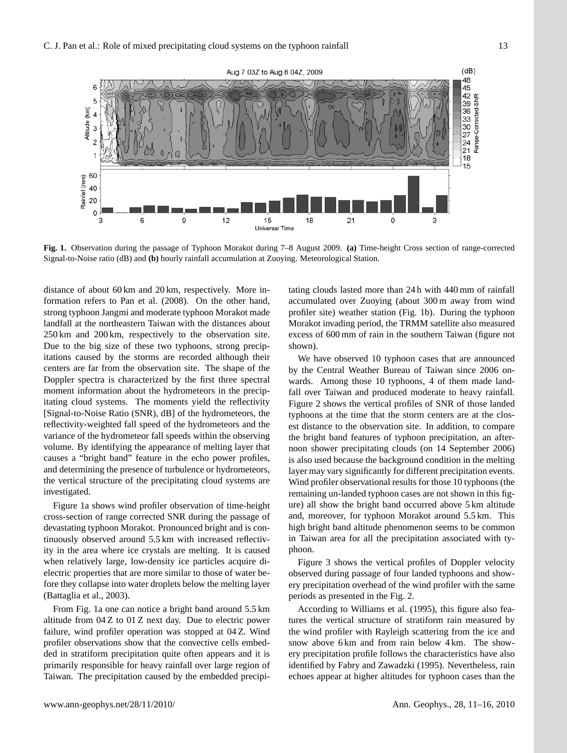

Fig.1 Observation during the passage of Typhoon Morakot during 7-8 August 2009. Signal-to-Noise ratio (dB) and **(b)** hourly rainfall accumulation at Zuoying. Meteorological Station.  $\left(\frac{a}{b}\right)$  Time-height Cross section of range-corrected Signal-to-Noise ratio (dB) and  $\frac{a}{b}$ **Fig. 1.** Observation during the passage of Typhoon Morakot during 7–8 August 2009. **(a)** Time-height Cross section of range-corrected

distance of about 60 km and 20 km, respectively. More information refers to Pan et al. (2008). On the other hand, strong typhoon Jangmi and moderate typhoon Morakot made landfall at the northeastern Taiwan with the distances about 250 km and 200 km, respectively to the observation site. Due to the big size of these two typhoons, strong precipitations caused by the storms are recorded although their centers are far from the observation site. The shape of the Doppler spectra is characterized by the first three spectral moment information about the hydrometeors in the precipitating cloud systems. The moments yield the reflectivity [Signal-to-Noise Ratio (SNR), dB] of the hydrometeors, the reflectivity-weighted fall speed of the hydrometeors and the variance of the hydrometeor fall speeds within the observing volume. By identifying the appearance of melting layer that causes a "bright band" feature in the echo power profiles, and determining the presence of turbulence or hydrometeors, the vertical structure of the precipitating cloud systems are investigated.

Figure 1a shows wind profiler observation of time-height cross-section of range corrected SNR during the passage of devastating typhoon Morakot. Pronounced bright and is continuously observed around 5.5 km with increased reflectivity in the area where ice crystals are melting. It is caused when relatively large, low-density ice particles acquire dielectric properties that are more similar to those of water before they collapse into water droplets below the melting layer (Battaglia et al., 2003).

From Fig. 1a one can notice a bright band around 5.5 km altitude from 04 Z to 01 Z next day. Due to electric power failure, wind profiler operation was stopped at 04 Z. Wind profiler observations show that the convective cells embedded in stratiform precipitation quite often appears and it is primarily responsible for heavy rainfall over large region of Taiwan. The precipitation caused by the embedded precipitating clouds lasted more than 24 h with 440 mm of rainfall accumulated over Zuoying (about 300 m away from wind profiler site) weather station (Fig. 1b). During the typhoon Morakot invading period, the TRMM satellite also measured excess of 600 mm of rain in the southern Taiwan (figure not shown).

We have observed 10 typhoon cases that are announced by the Central Weather Bureau of Taiwan since 2006 onwards. Among those 10 typhoons, 4 of them made landfall over Taiwan and produced moderate to heavy rainfall. Figure 2 shows the vertical profiles of SNR of those landed typhoons at the time that the storm centers are at the closest distance to the observation site. In addition, to compare the bright band features of typhoon precipitation, an afternoon shower precipitating clouds (on 14 September 2006) is also used because the background condition in the melting layer may vary significantly for different precipitation events. Wind profiler observational results for those 10 typhoons (the remaining un-landed typhoon cases are not shown in this figure) all show the bright band occurred above 5 km altitude and, moreover, for typhoon Morakot around 5.5 km. This high bright band altitude phenomenon seems to be common in Taiwan area for all the precipitation associated with typhoon.

Figure 3 shows the vertical profiles of Doppler velocity observed during passage of four landed typhoons and showery precipitation overhead of the wind profiler with the same periods as presented in the Fig. 2.

According to Williams et al. (1995), this figure also features the vertical structure of stratiform rain measured by the wind profiler with Rayleigh scattering from the ice and snow above 6 km and from rain below 4 km. The showery precipitation profile follows the characteristics have also identified by Fabry and Zawadzki (1995). Nevertheless, rain echoes appear at higher altitudes for typhoon cases than the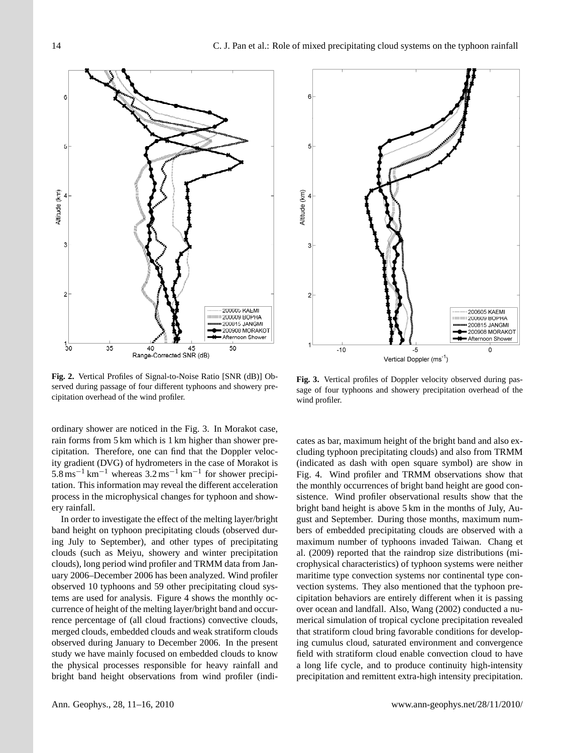

Fig. 2. Vertical Profiles of Signal-to-Noise Ratio [SNR (dB)] Observed during passage of four different typhoons and showery precipitation overhead of the wind profiler.

*2* ordinary shower are noticed in the Fig. 3. In Morakot case, rain forms from 5 km which is 1 km higher than shower precipitation. Therefore, one can find that the Doppler velocity gradient (DVG) of hydrometers in the case of Morakot is  $5.8 \text{ ms}^{-1} \text{ km}^{-1}$  whereas  $3.2 \text{ ms}^{-1} \text{ km}^{-1}$  for shower precipitation. This information may reveal the different acceleration process in the microphysical changes for typhoon and showery rainfall.

In order to investigate the effect of the melting layer/bright band height on typhoon precipitating clouds (observed during July to September), and other types of precipitating clouds (such as Meiyu, showery and winter precipitation clouds), long period wind profiler and TRMM data from January 2006–December 2006 has been analyzed. Wind profiler observed 10 typhoons and 59 other precipitating cloud systems are used for analysis. Figure 4 shows the monthly occurrence of height of the melting layer/bright band and occurrence percentage of (all cloud fractions) convective clouds, merged clouds, embedded clouds and weak stratiform clouds observed during January to December 2006. In the present study we have mainly focused on embedded clouds to know the physical processes responsible for heavy rainfall and bright band height observations from wind profiler (indi-



Fig. 3. Vertical profiles of Doppler velocity observed during passage of four typhoons and showery precipitation overhead of the wind profiler.

cates as bar, maximum height of the bright band and also excluding typhoon precipitating clouds) and also from TRMM (indicated as dash with open square symbol) are show in Fig. 4. Wind profiler and TRMM observations show that the monthly occurrences of bright band height are good consistence. Wind profiler observational results show that the bright band height is above 5 km in the months of July, August and September. During those months, maximum numbers of embedded precipitating clouds are observed with a maximum number of typhoons invaded Taiwan. Chang et al. (2009) reported that the raindrop size distributions (microphysical characteristics) of typhoon systems were neither maritime type convection systems nor continental type convection systems. They also mentioned that the typhoon precipitation behaviors are entirely different when it is passing over ocean and landfall. Also, Wang (2002) conducted a numerical simulation of tropical cyclone precipitation revealed that stratiform cloud bring favorable conditions for developing cumulus cloud, saturated environment and convergence field with stratiform cloud enable convection cloud to have a long life cycle, and to produce continuity high-intensity precipitation and remittent extra-high intensity precipitation.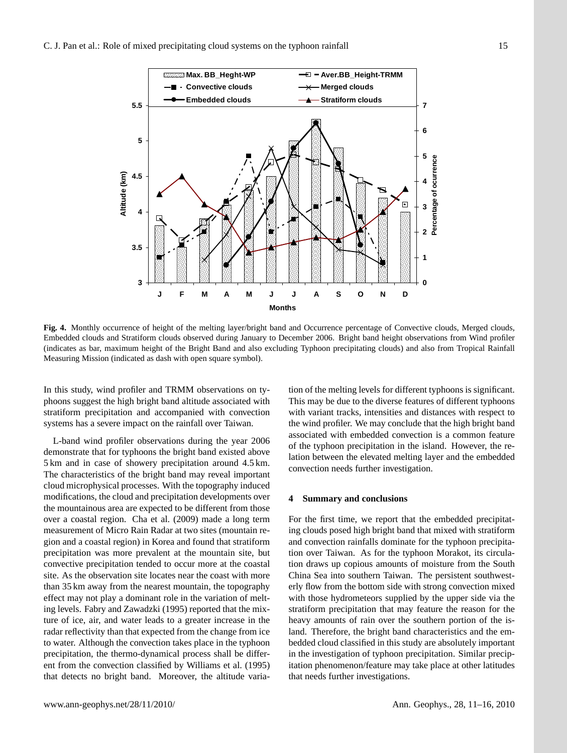

 Embedded clouds and Stratiform clouds observed during January to December 2006. Bright band height observations from Wind profiler Measuring Mission (indicated as dash with open square symbol). **Fig. 4.** Monthly occurrence of height of the melting layer/bright band and Occurrence percentage of Convective clouds, Merged clouds, (indicates as bar, maximum height of the Bright Band and also excluding Typhoon precipitating clouds) and also from Tropical Rainfall

systems has a severe impact on the rainfall over Taiwan. In this study, wind profiler and TRMM observations on typhoons suggest the high bright band altitude associated with stratiform precipitation and accompanied with convection

precipitation was more prevalent at the mountain site, but L-band wind profiler observations during the year 2006 demonstrate that for typhoons the bright band existed above 5 km and in case of showery precipitation around 4.5 km. The characteristics of the bright band may reveal important cloud microphysical processes. With the topography induced modifications, the cloud and precipitation developments over the mountainous area are expected to be different from those over a coastal region. Cha et al. (2009) made a long term measurement of Micro Rain Radar at two sites (mountain region and a coastal region) in Korea and found that stratiform convective precipitation tended to occur more at the coastal site. As the observation site locates near the coast with more than 35 km away from the nearest mountain, the topography effect may not play a dominant role in the variation of melting levels. Fabry and Zawadzki (1995) reported that the mixture of ice, air, and water leads to a greater increase in the radar reflectivity than that expected from the change from ice to water. Although the convection takes place in the typhoon precipitation, the thermo-dynamical process shall be different from the convection classified by Williams et al. (1995) that detects no bright band. Moreover, the altitude varia-

er and TRMM observations on ty-<br>tion of the melting levels for different typhoons is significant. right band altitude associated with This may be due to the diverse features of different typhoons nd accompanied with convection with variant tracks, intensities and distances with respect to the wind profiler. We may conclude that the high bright band associated with embedded convection is a common feature of the typhoon precipitation in the island. However, the relation between the elevated melting layer and the embedded convection needs further investigation.

#### **4 Summary and conclusions**

For the first time, we report that the embedded precipitating clouds posed high bright band that mixed with stratiform and convection rainfalls dominate for the typhoon precipitation over Taiwan. As for the typhoon Morakot, its circulation draws up copious amounts of moisture from the South China Sea into southern Taiwan. The persistent southwesterly flow from the bottom side with strong convection mixed with those hydrometeors supplied by the upper side via the stratiform precipitation that may feature the reason for the heavy amounts of rain over the southern portion of the island. Therefore, the bright band characteristics and the embedded cloud classified in this study are absolutely important in the investigation of typhoon precipitation. Similar precipitation phenomenon/feature may take place at other latitudes that needs further investigations.